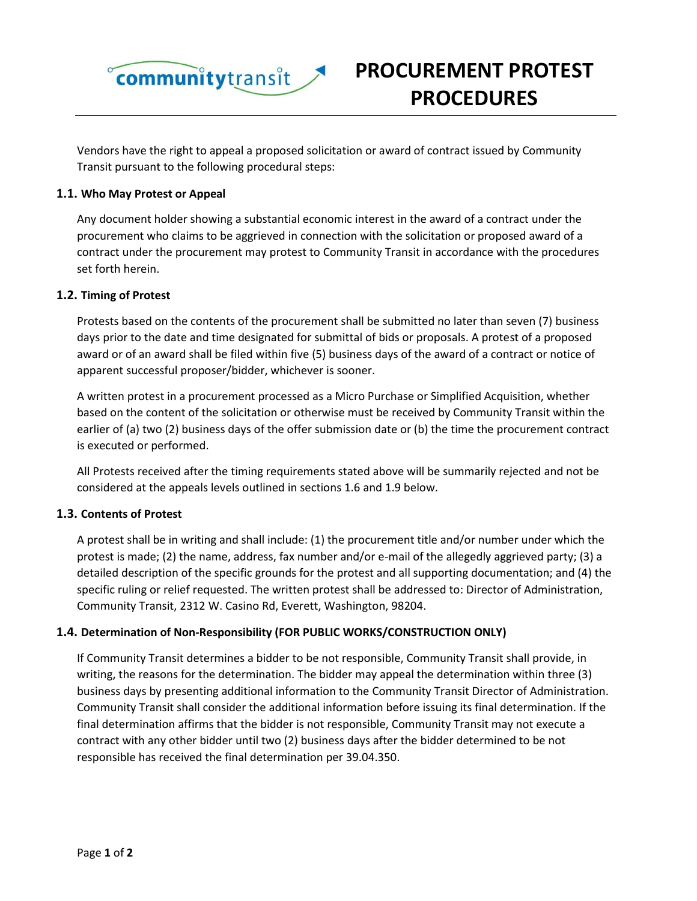

Vendors have the right to appeal a proposed solicitation or award of contract issued by Community Transit pursuant to the following procedural steps:

## **1.1. Who May Protest or Appeal**

Any document holder showing a substantial economic interest in the award of a contract under the procurement who claims to be aggrieved in connection with the solicitation or proposed award of a contract under the procurement may protest to Community Transit in accordance with the procedures set forth herein.

#### **1.2. Timing of Protest**

Protests based on the contents of the procurement shall be submitted no later than seven (7) business days prior to the date and time designated for submittal of bids or proposals. A protest of a proposed award or of an award shall be filed within five (5) business days of the award of a contract or notice of apparent successful proposer/bidder, whichever is sooner.

A written protest in a procurement processed as a Micro Purchase or Simplified Acquisition, whether based on the content of the solicitation or otherwise must be received by Community Transit within the earlier of (a) two (2) business days of the offer submission date or (b) the time the procurement contract is executed or performed.

All Protests received after the timing requirements stated above will be summarily rejected and not be considered at the appeals levels outlined in sections 1.6 and 1.9 below.

#### **1.3. Contents of Protest**

A protest shall be in writing and shall include: (1) the procurement title and/or number under which the protest is made; (2) the name, address, fax number and/or e-mail of the allegedly aggrieved party; (3) a detailed description of the specific grounds for the protest and all supporting documentation; and (4) the specific ruling or relief requested. The written protest shall be addressed to: Director of Administration, Community Transit, 2312 W. Casino Rd, Everett, Washington, 98204.

## **1.4. Determination of Non-Responsibility (FOR PUBLIC WORKS/CONSTRUCTION ONLY)**

If Community Transit determines a bidder to be not responsible, Community Transit shall provide, in writing, the reasons for the determination. The bidder may appeal the determination within three (3) business days by presenting additional information to the Community Transit Director of Administration. Community Transit shall consider the additional information before issuing its final determination. If the final determination affirms that the bidder is not responsible, Community Transit may not execute a contract with any other bidder until two (2) business days after the bidder determined to be not responsible has received the final determination per 39.04.350.